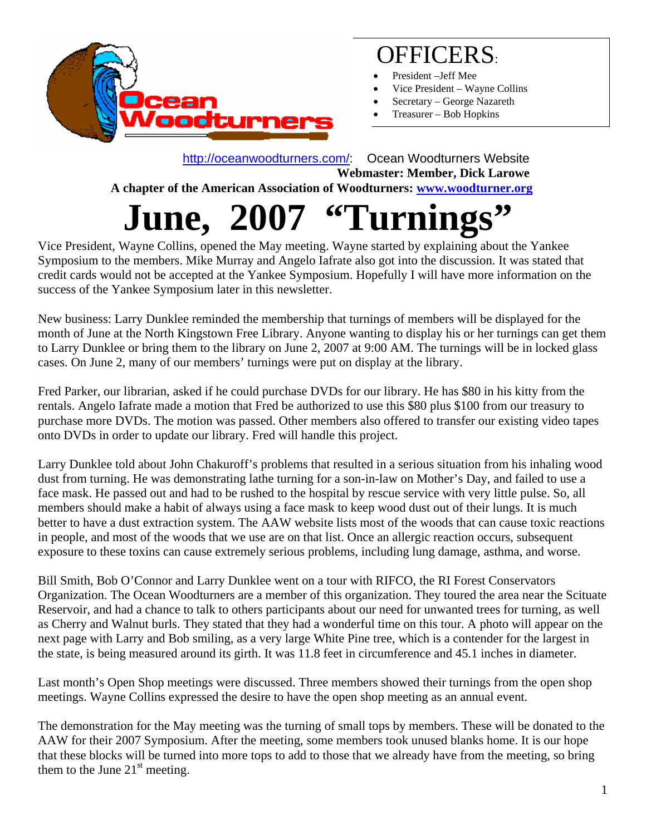

# OFFICERS:

- President –Jeff Mee
- Vice President Wayne Collins
- Secretary George Nazareth
- Treasurer Bob Hopkins

 <http://oceanwoodturners.com/>: Ocean Woodturners Website **Webmaster: Member, Dick Larowe A chapter of the American Association of Woodturners: [www.woodturner.org](http://www.woodturner.org/)**  June, 2007 "Turnings"

Vice President, Wayne Collins, opened the May meeting. Wayne started by explaining about the Yankee Symposium to the members. Mike Murray and Angelo Iafrate also got into the discussion. It was stated that credit cards would not be accepted at the Yankee Symposium. Hopefully I will have more information on the success of the Yankee Symposium later in this newsletter.

New business: Larry Dunklee reminded the membership that turnings of members will be displayed for the month of June at the North Kingstown Free Library. Anyone wanting to display his or her turnings can get them to Larry Dunklee or bring them to the library on June 2, 2007 at 9:00 AM. The turnings will be in locked glass cases. On June 2, many of our members' turnings were put on display at the library.

Fred Parker, our librarian, asked if he could purchase DVDs for our library. He has \$80 in his kitty from the rentals. Angelo Iafrate made a motion that Fred be authorized to use this \$80 plus \$100 from our treasury to purchase more DVDs. The motion was passed. Other members also offered to transfer our existing video tapes onto DVDs in order to update our library. Fred will handle this project.

Larry Dunklee told about John Chakuroff's problems that resulted in a serious situation from his inhaling wood dust from turning. He was demonstrating lathe turning for a son-in-law on Mother's Day, and failed to use a face mask. He passed out and had to be rushed to the hospital by rescue service with very little pulse. So, all members should make a habit of always using a face mask to keep wood dust out of their lungs. It is much better to have a dust extraction system. The AAW website lists most of the woods that can cause toxic reactions in people, and most of the woods that we use are on that list. Once an allergic reaction occurs, subsequent exposure to these toxins can cause extremely serious problems, including lung damage, asthma, and worse.

Bill Smith, Bob O'Connor and Larry Dunklee went on a tour with RIFCO, the RI Forest Conservators Organization. The Ocean Woodturners are a member of this organization. They toured the area near the Scituate Reservoir, and had a chance to talk to others participants about our need for unwanted trees for turning, as well as Cherry and Walnut burls. They stated that they had a wonderful time on this tour. A photo will appear on the next page with Larry and Bob smiling, as a very large White Pine tree, which is a contender for the largest in the state, is being measured around its girth. It was 11.8 feet in circumference and 45.1 inches in diameter.

Last month's Open Shop meetings were discussed. Three members showed their turnings from the open shop meetings. Wayne Collins expressed the desire to have the open shop meeting as an annual event.

The demonstration for the May meeting was the turning of small tops by members. These will be donated to the AAW for their 2007 Symposium. After the meeting, some members took unused blanks home. It is our hope that these blocks will be turned into more tops to add to those that we already have from the meeting, so bring them to the June  $21<sup>st</sup>$  meeting.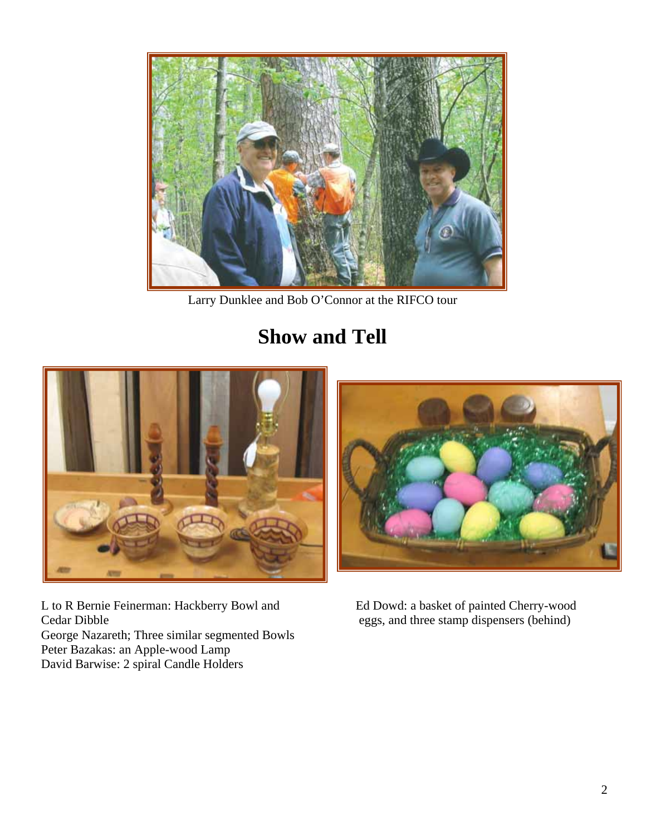

Larry Dunklee and Bob O'Connor at the RIFCO tour

## **Show and Tell**



 L to R Bernie Feinerman: Hackberry Bowl and Ed Dowd: a basket of painted Cherry-wood Cedar Dibble eggs, and three stamp dispensers (behind) George Nazareth; Three similar segmented Bowls Peter Bazakas: an Apple-wood Lamp David Barwise: 2 spiral Candle Holders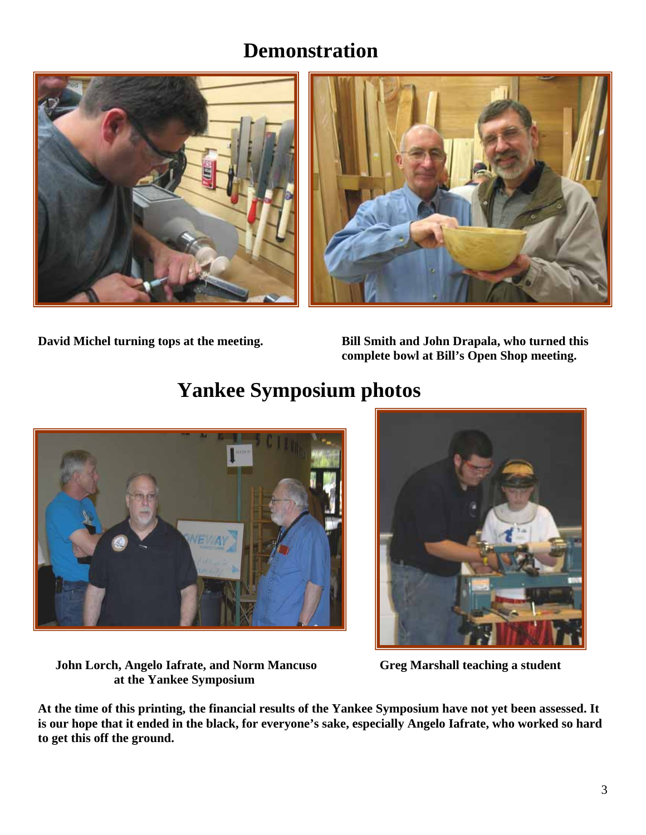#### **Demonstration**





**David Michel turning tops at the meeting. Bill Smith and John Drapala, who turned this complete bowl at Bill's Open Shop meeting.** 

### **Yankee Symposium photos**





 **John Lorch, Angelo Iafrate, and Norm Mancuso Greg Marshall teaching a student at the Yankee Symposium** 

**At the time of this printing, the financial results of the Yankee Symposium have not yet been assessed. It is our hope that it ended in the black, for everyone's sake, especially Angelo Iafrate, who worked so hard to get this off the ground.**